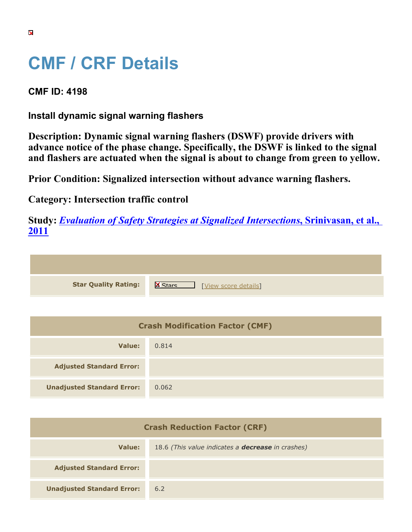## **CMF / CRF Details**

**CMF ID: 4198**

**Install dynamic signal warning flashers**

**Description: Dynamic signal warning flashers (DSWF) provide drivers with advance notice of the phase change. Specifically, the DSWF is linked to the signal and flashers are actuated when the signal is about to change from green to yellow.**

**Prior Condition: Signalized intersection without advance warning flashers.**

**Category: Intersection traffic control**

**Study:** *[Evaluation of Safety Strategies at Signalized Intersections](https://cmfclearinghouse.org/study_detail.cfm?stid=290)***[, Srinivasan, et al.,](https://cmfclearinghouse.org/study_detail.cfm?stid=290) [2011](https://cmfclearinghouse.org/study_detail.cfm?stid=290)**

| <b>Star Quality Rating:</b> | <b>X</b><br>[View score details] |
|-----------------------------|----------------------------------|

| <b>Crash Modification Factor (CMF)</b> |       |  |
|----------------------------------------|-------|--|
| Value:                                 | 0.814 |  |
| <b>Adjusted Standard Error:</b>        |       |  |
| <b>Unadjusted Standard Error:</b>      | 0.062 |  |

| <b>Crash Reduction Factor (CRF)</b> |                                                          |
|-------------------------------------|----------------------------------------------------------|
| Value:                              | 18.6 (This value indicates a <b>decrease</b> in crashes) |
| <b>Adjusted Standard Error:</b>     |                                                          |
| <b>Unadjusted Standard Error:</b>   | 6.2                                                      |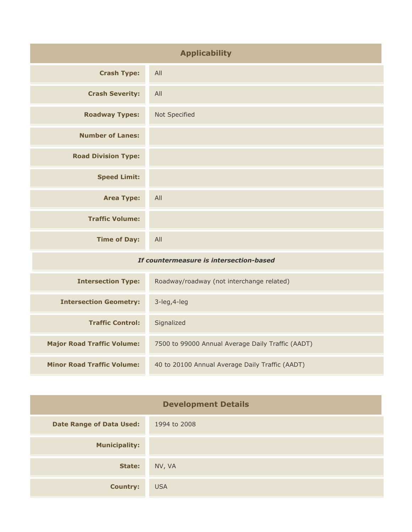| <b>Applicability</b>                    |                                           |
|-----------------------------------------|-------------------------------------------|
| <b>Crash Type:</b>                      | All                                       |
| <b>Crash Severity:</b>                  | All                                       |
| <b>Roadway Types:</b>                   | Not Specified                             |
| <b>Number of Lanes:</b>                 |                                           |
| <b>Road Division Type:</b>              |                                           |
| <b>Speed Limit:</b>                     |                                           |
| <b>Area Type:</b>                       | All                                       |
| <b>Traffic Volume:</b>                  |                                           |
| <b>Time of Day:</b>                     | All                                       |
| If countermeasure is intersection-based |                                           |
| <b>Intersection Type:</b>               | Roadway/roadway (not interchange related) |

| <b>INCRECCIÓN IVIC.</b>           | Roadway, roadway (flot filterendinge related)     |
|-----------------------------------|---------------------------------------------------|
| <b>Intersection Geometry:</b>     | $3$ -leg, $4$ -leg                                |
| <b>Traffic Control:</b>           | Signalized                                        |
| <b>Major Road Traffic Volume:</b> | 7500 to 99000 Annual Average Daily Traffic (AADT) |
| <b>Minor Road Traffic Volume:</b> | 40 to 20100 Annual Average Daily Traffic (AADT)   |

| <b>Development Details</b>      |              |
|---------------------------------|--------------|
| <b>Date Range of Data Used:</b> | 1994 to 2008 |
| <b>Municipality:</b>            |              |
| State:                          | NV, VA       |
| <b>Country:</b>                 | <b>USA</b>   |